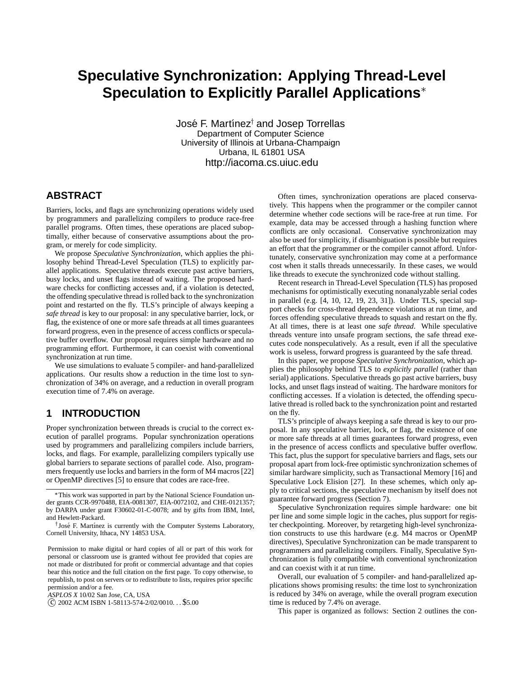# **Speculative Synchronization: Applying Thread-Level Speculation to Explicitly Parallel Applications**

José F. Martínez† and Josep Torrellas Department of Computer Science University of Illinois at Urbana-Champaign Urbana, IL 61801 USA http://iacoma.cs.uiuc.edu

### **ABSTRACT**

Barriers, locks, and flags are synchronizing operations widely used by programmers and parallelizing compilers to produce race-free parallel programs. Often times, these operations are placed suboptimally, either because of conservative assumptions about the program, or merely for code simplicity.

We propose *Speculative Synchronization*, which applies the philosophy behind Thread-Level Speculation (TLS) to explicitly parallel applications. Speculative threads execute past active barriers, busy locks, and unset flags instead of waiting. The proposed hardware checks for conflicting accesses and, if a violation is detected, the offending speculative thread is rolled back to the synchronization point and restarted on the fly. TLS's principle of always keeping a *safe thread* is key to our proposal: in any speculative barrier, lock, or flag, the existence of one or more safe threads at all times guarantees forward progress, even in the presence of access conflicts or speculative buffer overflow. Our proposal requires simple hardware and no programming effort. Furthermore, it can coexist with conventional synchronization at run time.

We use simulations to evaluate 5 compiler- and hand-parallelized applications. Our results show a reduction in the time lost to synchronization of 34% on average, and a reduction in overall program execution time of 7.4% on average.

### **1 INTRODUCTION**

Proper synchronization between threads is crucial to the correct execution of parallel programs. Popular synchronization operations used by programmers and parallelizing compilers include barriers, locks, and flags. For example, parallelizing compilers typically use global barriers to separate sections of parallel code. Also, programmers frequently use locks and barriers in the form of M4 macros [22] or OpenMP directives [5] to ensure that codes are race-free.

*ASPLOS X* 10/02 San Jose, CA, USA

Often times, synchronization operations are placed conservatively. This happens when the programmer or the compiler cannot determine whether code sections will be race-free at run time. For example, data may be accessed through a hashing function where conflicts are only occasional. Conservative synchronization may also be used for simplicity, if disambiguation is possible but requires an effort that the programmer or the compiler cannot afford. Unfortunately, conservative synchronization may come at a performance cost when it stalls threads unnecessarily. In these cases, we would like threads to execute the synchronized code without stalling.

Recent research in Thread-Level Speculation (TLS) has proposed mechanisms for optimistically executing nonanalyzable serial codes in parallel (e.g. [4, 10, 12, 19, 23, 31]). Under TLS, special support checks for cross-thread dependence violations at run time, and forces offending speculative threads to squash and restart on the fly. At all times, there is at least one *safe thread*. While speculative threads venture into unsafe program sections, the safe thread executes code nonspeculatively. As a result, even if all the speculative work is useless, forward progress is guaranteed by the safe thread.

In this paper, we propose *Speculative Synchronization*, which applies the philosophy behind TLS to *explicitly parallel* (rather than serial) applications. Speculative threads go past active barriers, busy locks, and unset flags instead of waiting. The hardware monitors for conflicting accesses. If a violation is detected, the offending speculative thread is rolled back to the synchronization point and restarted on the fly.

TLS's principle of always keeping a safe thread is key to our proposal. In any speculative barrier, lock, or flag, the existence of one or more safe threads at all times guarantees forward progress, even in the presence of access conflicts and speculative buffer overflow. This fact, plus the support for speculative barriers and flags, sets our proposal apart from lock-free optimistic synchronization schemes of similar hardware simplicity, such as Transactional Memory [16] and Speculative Lock Elision [27]. In these schemes, which only apply to critical sections, the speculative mechanism by itself does not guarantee forward progress (Section 7).

Speculative Synchronization requires simple hardware: one bit per line and some simple logic in the caches, plus support for register checkpointing. Moreover, by retargeting high-level synchronization constructs to use this hardware (e.g. M4 macros or OpenMP directives), Speculative Synchronization can be made transparent to programmers and parallelizing compilers. Finally, Speculative Synchronization is fully compatible with conventional synchronization and can coexist with it at run time.

Overall, our evaluation of 5 compiler- and hand-parallelized applications shows promising results: the time lost to synchronization is reduced by 34% on average, while the overall program execution time is reduced by 7.4% on average.

This paper is organized as follows: Section 2 outlines the con-

This work was supported in part by the National Science Foundation under grants CCR-9970488, EIA-0081307, EIA-0072102, and CHE-0121357; by DARPA under grant F30602-01-C-0078; and by gifts from IBM, Intel, and Hewlett-Packard.

<sup>&</sup>lt;sup>†</sup> José F. Martínez is currently with the Computer Systems Laboratory, Cornell University, Ithaca, NY 14853 USA.

Permission to make digital or hard copies of all or part of this work for personal or classroom use is granted without fee provided that copies are not made or distributed for profit or commercial advantage and that copies bear this notice and the full citation on the first page. To copy otherwise, to republish, to post on servers or to redistribute to lists, requires prior specific permission and/or a fee.

c 2002 ACM ISBN 1-58113-574-2/02/0010. . . \$5.00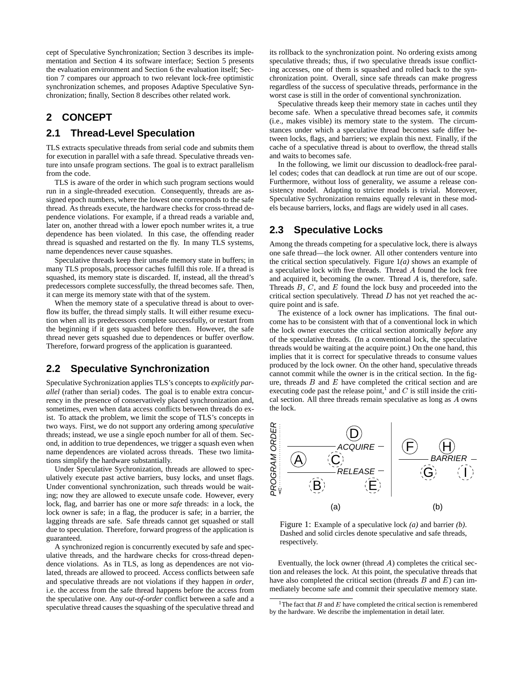cept of Speculative Synchronization; Section 3 describes its implementation and Section 4 its software interface; Section 5 presents the evaluation environment and Section 6 the evaluation itself; Section 7 compares our approach to two relevant lock-free optimistic synchronization schemes, and proposes Adaptive Speculative Synchronization; finally, Section 8 describes other related work.

# **2 CONCEPT**

# **2.1 Thread-Level Speculation**

TLS extracts speculative threads from serial code and submits them for execution in parallel with a safe thread. Speculative threads venture into unsafe program sections. The goal is to extract parallelism from the code.

TLS is aware of the order in which such program sections would run in a single-threaded execution. Consequently, threads are assigned epoch numbers, where the lowest one corresponds to the safe thread. As threads execute, the hardware checks for cross-thread dependence violations. For example, if a thread reads a variable and, later on, another thread with a lower epoch number writes it, a true dependence has been violated. In this case, the offending reader thread is squashed and restarted on the fly. In many TLS systems, name dependences never cause squashes.

Speculative threads keep their unsafe memory state in buffers; in many TLS proposals, processor caches fulfill this role. If a thread is squashed, its memory state is discarded. If, instead, all the thread's predecessors complete successfully, the thread becomes safe. Then, it can merge its memory state with that of the system.

When the memory state of a speculative thread is about to overflow its buffer, the thread simply stalls. It will either resume execution when all its predecessors complete successfully, or restart from the beginning if it gets squashed before then. However, the safe thread never gets squashed due to dependences or buffer overflow. Therefore, forward progress of the application is guaranteed.

# **2.2 Speculative Synchronization**

Speculative Sychronization applies TLS's concepts to *explicitly parallel* (rather than serial) codes. The goal is to enable extra concurrency in the presence of conservatively placed synchronization and, sometimes, even when data access conflicts between threads do exist. To attack the problem, we limit the scope of TLS's concepts in two ways. First, we do not support any ordering among *speculative* threads; instead, we use a single epoch number for all of them. Second, in addition to true dependences, we trigger a squash even when name dependences are violated across threads. These two limitations simplify the hardware substantially.

Under Speculative Sychronization, threads are allowed to speculatively execute past active barriers, busy locks, and unset flags. Under conventional synchronization, such threads would be waiting; now they are allowed to execute unsafe code. However, every lock, flag, and barrier has one or more *safe* threads: in a lock, the lock owner is safe; in a flag, the producer is safe; in a barrier, the lagging threads are safe. Safe threads cannot get squashed or stall due to speculation. Therefore, forward progress of the application is guaranteed.

A synchronized region is concurrently executed by safe and speculative threads, and the hardware checks for cross-thread dependence violations. As in TLS, as long as dependences are not violated, threads are allowed to proceed. Access conflicts between safe and speculative threads are not violations if they happen *in order*, i.e. the access from the safe thread happens before the access from the speculative one. Any *out-of-order* conflict between a safe and a speculative thread causes the squashing of the speculative thread and its rollback to the synchronization point. No ordering exists among speculative threads; thus, if two speculative threads issue conflicting accesses, one of them is squashed and rolled back to the synchronization point. Overall, since safe threads can make progress regardless of the success of speculative threads, performance in the worst case is still in the order of conventional synchronization.

Speculative threads keep their memory state in caches until they become safe. When a speculative thread becomes safe, it *commits* (i.e., makes visible) its memory state to the system. The circumstances under which a speculative thread becomes safe differ between locks, flags, and barriers; we explain this next. Finally, if the cache of a speculative thread is about to overflow, the thread stalls and waits to becomes safe.

In the following, we limit our discussion to deadlock-free parallel codes; codes that can deadlock at run time are out of our scope. Furthermore, without loss of generality, we assume a release consistency model. Adapting to stricter models is trivial. Moreover, Speculative Sychronization remains equally relevant in these models because barriers, locks, and flags are widely used in all cases.

### **2.3 Speculative Locks**

Among the threads competing for a speculative lock, there is always one safe thread—the lock owner. All other contenders venture into the critical section speculatively. Figure 1*(a)* shows an example of a speculative lock with five threads. Thread <sup>A</sup> found the lock free and acquired it, becoming the owner. Thread <sup>A</sup> is, therefore, safe. Threads  $B, C$ , and  $E$  found the lock busy and proceeded into the critical section speculatively. Thread  $D$  has not yet reached the acquire point and is safe.

The existence of a lock owner has implications. The final outcome has to be consistent with that of a conventional lock in which the lock owner executes the critical section atomically *before* any of the speculative threads. (In a conventional lock, the speculative threads would be waiting at the acquire point.) On the one hand, this implies that it is correct for speculative threads to consume values produced by the lock owner. On the other hand, speculative threads cannot commit while the owner is in the critical section. In the figure, threads  $B$  and  $E$  have completed the critical section and are executing code past the release point,<sup>1</sup> and C is still inside the critical section. All three threads remain speculative as long as <sup>A</sup> owns the lock.



Figure 1: Example of a speculative lock *(a)* and barrier *(b)*. Dashed and solid circles denote speculative and safe threads, respectively.

Eventually, the lock owner (thread  $A$ ) completes the critical section and releases the lock. At this point, the speculative threads that have also completed the critical section (threads  $B$  and  $E$ ) can immediately become safe and commit their speculative memory state.

<sup>&</sup>lt;sup>1</sup>The fact that  $B$  and  $E$  have completed the critical section is remembered by the hardware. We describe the implementation in detail later.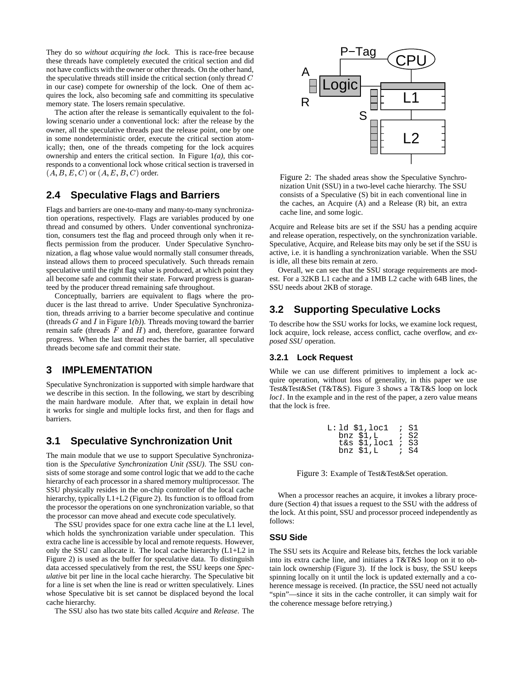They do so *without acquiring the lock*. This is race-free because these threads have completely executed the critical section and did not have conflicts with the owner or other threads. On the other hand, the speculative threads still inside the critical section (only thread <sup>C</sup> in our case) compete for ownership of the lock. One of them acquires the lock, also becoming safe and committing its speculative memory state. The losers remain speculative.

The action after the release is semantically equivalent to the following scenario under a conventional lock: after the release by the owner, all the speculative threads past the release point, one by one in some nondeterministic order, execute the critical section atomically; then, one of the threads competing for the lock acquires ownership and enters the critical section. In Figure 1*(a)*, this corresponds to a conventional lock whose critical section is traversed in  $(A, B, E, C)$  or  $(A, E, B, C)$  order.

# **2.4 Speculative Flags and Barriers**

Flags and barriers are one-to-many and many-to-many synchronization operations, respectively. Flags are variables produced by one thread and consumed by others. Under conventional synchronization, consumers test the flag and proceed through only when it reflects permission from the producer. Under Speculative Synchronization, a flag whose value would normally stall consumer threads, instead allows them to proceed speculatively. Such threads remain speculative until the right flag value is produced, at which point they all become safe and commit their state. Forward progress is guaranteed by the producer thread remaining safe throughout.

Conceptually, barriers are equivalent to flags where the producer is the last thread to arrive. Under Speculative Synchronization, threads arriving to a barrier become speculative and continue (threads  $G$  and  $I$  in Figure  $1(b)$ ). Threads moving toward the barrier remain safe (threads  $F$  and  $H$ ) and, therefore, guarantee forward progress. When the last thread reaches the barrier, all speculative threads become safe and commit their state.

#### **3 IMPLEMENTATION**

Speculative Synchronization is supported with simple hardware that we describe in this section. In the following, we start by describing the main hardware module. After that, we explain in detail how it works for single and multiple locks first, and then for flags and barriers.

### **3.1 Speculative Synchronization Unit**

The main module that we use to support Speculative Synchronization is the *Speculative Synchronization Unit (SSU)*. The SSU consists of some storage and some control logic that we add to the cache hierarchy of each processor in a shared memory multiprocessor. The SSU physically resides in the on-chip controller of the local cache hierarchy, typically L1+L2 (Figure 2). Its function is to offload from the processor the operations on one synchronization variable, so that the processor can move ahead and execute code speculatively.

The SSU provides space for one extra cache line at the L1 level, which holds the synchronization variable under speculation. This extra cache line is accessible by local and remote requests. However, only the SSU can allocate it. The local cache hierarchy (L1+L2 in Figure 2) is used as the buffer for speculative data. To distinguish data accessed speculatively from the rest, the SSU keeps one *Speculative* bit per line in the local cache hierarchy. The Speculative bit for a line is set when the line is read or written speculatively. Lines whose Speculative bit is set cannot be displaced beyond the local cache hierarchy.

The SSU also has two state bits called *Acquire* and *Release*. The



Figure 2: The shaded areas show the Speculative Synchronization Unit (SSU) in a two-level cache hierarchy. The SSU consists of a Speculative (S) bit in each conventional line in the caches, an Acquire (A) and a Release (R) bit, an extra cache line, and some logic.

Acquire and Release bits are set if the SSU has a pending acquire and release operation, respectively, on the synchronization variable. Speculative, Acquire, and Release bits may only be set if the SSU is active, i.e. it is handling a synchronization variable. When the SSU is idle, all these bits remain at zero.

Overall, we can see that the SSU storage requirements are modest. For a 32KB L1 cache and a 1MB L2 cache with 64B lines, the SSU needs about 2KB of storage.

### **3.2 Supporting Speculative Locks**

To describe how the SSU works for locks, we examine lock request, lock acquire, lock release, access conflict, cache overflow, and *exposed SSU* operation.

#### **3.2.1 Lock Request**

While we can use different primitives to implement a lock acquire operation, without loss of generality, in this paper we use Test&Test&Set (T&T&S). Figure 3 shows a T&T&S loop on lock *loc1*. In the example and in the rest of the paper, a zero value means that the lock is free.

| L:ld \$1,loc1<br>$bnz$ $$1,L$<br>$t$ &s $$1,$ loc $1$ | ; s1<br>; s2<br>; s3 |  |
|-------------------------------------------------------|----------------------|--|
| $bnz$ \$1, $L$                                        | ; s4                 |  |

Figure 3: Example of Test&Test&Set operation.

When a processor reaches an acquire, it invokes a library procedure (Section 4) that issues a request to the SSU with the address of the lock. At this point, SSU and processor proceed independently as follows:

#### **SSU Side**

The SSU sets its Acquire and Release bits, fetches the lock variable into its extra cache line, and initiates a T&T&S loop on it to obtain lock ownership (Figure 3). If the lock is busy, the SSU keeps spinning locally on it until the lock is updated externally and a coherence message is received. (In practice, the SSU need not actually "spin"—since it sits in the cache controller, it can simply wait for the coherence message before retrying.)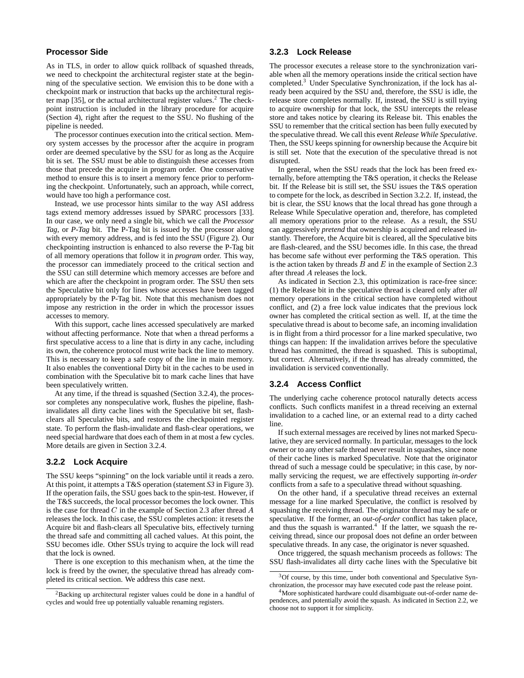### **Processor Side**

As in TLS, in order to allow quick rollback of squashed threads, we need to checkpoint the architectural register state at the beginning of the speculative section. We envision this to be done with a checkpoint mark or instruction that backs up the architectural register map  $[35]$ , or the actual architectural register values.<sup>2</sup> The checkpoint instruction is included in the library procedure for acquire (Section 4), right after the request to the SSU. No flushing of the pipeline is needed.

The processor continues execution into the critical section. Memory system accesses by the processor after the acquire in program order are deemed speculative by the SSU for as long as the Acquire bit is set. The SSU must be able to distinguish these accesses from those that precede the acquire in program order. One conservative method to ensure this is to insert a memory fence prior to performing the checkpoint. Unfortunately, such an approach, while correct, would have too high a performance cost.

Instead, we use processor hints similar to the way ASI address tags extend memory addresses issued by SPARC processors [33]. In our case, we only need a single bit, which we call the *Processor Tag*, or *P-Tag* bit. The P-Tag bit is issued by the processor along with every memory address, and is fed into the SSU (Figure 2). Our checkpointing instruction is enhanced to also reverse the P-Tag bit of all memory operations that follow it in *program* order. This way, the processor can immediately proceed to the critical section and the SSU can still determine which memory accesses are before and which are after the checkpoint in program order. The SSU then sets the Speculative bit only for lines whose accesses have been tagged appropriately by the P-Tag bit. Note that this mechanism does not impose any restriction in the order in which the processor issues accesses to memory.

With this support, cache lines accessed speculatively are marked without affecting performance. Note that when a thread performs a first speculative access to a line that is dirty in any cache, including its own, the coherence protocol must write back the line to memory. This is necessary to keep a safe copy of the line in main memory. It also enables the conventional Dirty bit in the caches to be used in combination with the Speculative bit to mark cache lines that have been speculatively written.

At any time, if the thread is squashed (Section 3.2.4), the processor completes any nonspeculative work, flushes the pipeline, flashinvalidates all dirty cache lines with the Speculative bit set, flashclears all Speculative bits, and restores the checkpointed register state. To perform the flash-invalidate and flash-clear operations, we need special hardware that does each of them in at most a few cycles. More details are given in Section 3.2.4.

#### **3.2.2 Lock Acquire**

The SSU keeps "spinning" on the lock variable until it reads a zero. At this point, it attempts a T&S operation (statement *S3* in Figure 3). If the operation fails, the SSU goes back to the spin-test. However, if the T&S succeeds, the local processor becomes the lock owner. This is the case for thread  $C$  in the example of Section 2.3 after thread  $A$ releases the lock. In this case, the SSU completes action: it resets the Acquire bit and flash-clears all Speculative bits, effectively turning the thread safe and committing all cached values. At this point, the SSU becomes idle. Other SSUs trying to acquire the lock will read that the lock is owned.

There is one exception to this mechanism when, at the time the lock is freed by the owner, the speculative thread has already completed its critical section. We address this case next.

#### **3.2.3 Lock Release**

The processor executes a release store to the synchronization variable when all the memory operations inside the critical section have completed.<sup>3</sup> Under Speculative Synchronization, if the lock has already been acquired by the SSU and, therefore, the SSU is idle, the release store completes normally. If, instead, the SSU is still trying to acquire ownership for that lock, the SSU intercepts the release store and takes notice by clearing its Release bit. This enables the SSU to remember that the critical section has been fully executed by the speculative thread. We call this event *Release While Speculative*. Then, the SSU keeps spinning for ownership because the Acquire bit is still set. Note that the execution of the speculative thread is not disrupted.

In general, when the SSU reads that the lock has been freed externally, before attempting the T&S operation, it checks the Release bit. If the Release bit is still set, the SSU issues the T&S operation to compete for the lock, as described in Section 3.2.2. If, instead, the bit is clear, the SSU knows that the local thread has gone through a Release While Speculative operation and, therefore, has completed all memory operations prior to the release. As a result, the SSU can aggressively *pretend* that ownership is acquired and released instantly. Therefore, the Acquire bit is cleared, all the Speculative bits are flash-cleared, and the SSU becomes idle. In this case, the thread has become safe without ever performing the T&S operation. This is the action taken by threads  $B$  and  $E$  in the example of Section 2.3 after thread <sup>A</sup> releases the lock.

As indicated in Section 2.3, this optimization is race-free since: (1) the Release bit in the speculative thread is cleared only after *all* memory operations in the critical section have completed without conflict, and (2) a free lock value indicates that the previous lock owner has completed the critical section as well. If, at the time the speculative thread is about to become safe, an incoming invalidation is in flight from a third processor for a line marked speculative, two things can happen: If the invalidation arrives before the speculative thread has committed, the thread is squashed. This is suboptimal, but correct. Alternatively, if the thread has already committed, the invalidation is serviced conventionally.

#### **3.2.4 Access Conflict**

The underlying cache coherence protocol naturally detects access conflicts. Such conflicts manifest in a thread receiving an external invalidation to a cached line, or an external read to a dirty cached line.

If such external messages are received by lines not marked Speculative, they are serviced normally. In particular, messages to the lock owner or to any other safe thread never result in squashes, since none of their cache lines is marked Speculative. Note that the originator thread of such a message could be speculative; in this case, by normally servicing the request, we are effectively supporting *in-order* conflicts from a safe to a speculative thread without squashing.

On the other hand, if a speculative thread receives an external message for a line marked Speculative, the conflict is resolved by squashing the receiving thread. The originator thread may be safe or speculative. If the former, an *out-of-order* conflict has taken place, and thus the squash is warranted.<sup>4</sup> If the latter, we squash the receiving thread, since our proposal does not define an order between speculative threads. In any case, the originator is never squashed.

Once triggered, the squash mechanism proceeds as follows: The SSU flash-invalidates all dirty cache lines with the Speculative bit

 ${}^{2}$ Backing up architectural register values could be done in a handful of cycles and would free up potentially valuable renaming registers.

<sup>&</sup>lt;sup>3</sup>Of course, by this time, under both conventional and Speculative Synchronization, the processor may have executed code past the release point.

<sup>&</sup>lt;sup>4</sup>More sophisticated hardware could disambiguate out-of-order name dependences, and potentially avoid the squash. As indicated in Section 2.2, we choose not to support it for simplicity.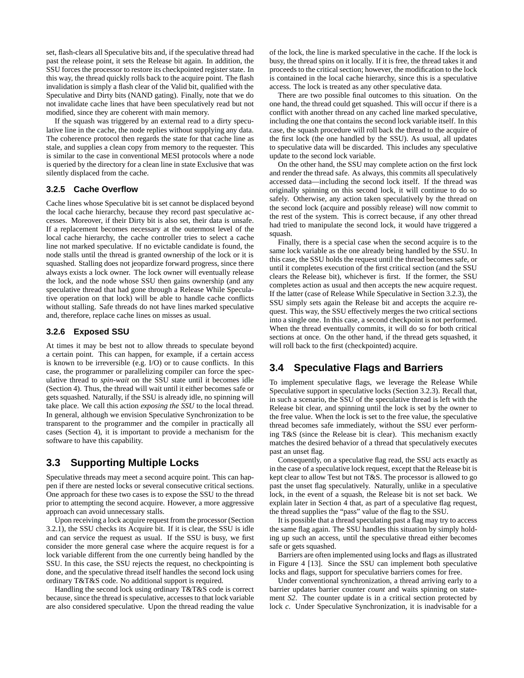set, flash-clears all Speculative bits and, if the speculative thread had past the release point, it sets the Release bit again. In addition, the SSU forces the processor to restore its checkpointed register state. In this way, the thread quickly rolls back to the acquire point. The flash invalidation is simply a flash clear of the Valid bit, qualified with the Speculative and Dirty bits (NAND gating). Finally, note that we do not invalidate cache lines that have been speculatively read but not modified, since they are coherent with main memory.

If the squash was triggered by an external read to a dirty speculative line in the cache, the node replies without supplying any data. The coherence protocol then regards the state for that cache line as stale, and supplies a clean copy from memory to the requester. This is similar to the case in conventional MESI protocols where a node is queried by the directory for a clean line in state Exclusive that was silently displaced from the cache.

#### **3.2.5 Cache Overflow**

Cache lines whose Speculative bit is set cannot be displaced beyond the local cache hierarchy, because they record past speculative accesses. Moreover, if their Dirty bit is also set, their data is unsafe. If a replacement becomes necessary at the outermost level of the local cache hierarchy, the cache controller tries to select a cache line not marked speculative. If no evictable candidate is found, the node stalls until the thread is granted ownership of the lock or it is squashed. Stalling does not jeopardize forward progress, since there always exists a lock owner. The lock owner will eventually release the lock, and the node whose SSU then gains ownership (and any speculative thread that had gone through a Release While Speculative operation on that lock) will be able to handle cache conflicts without stalling. Safe threads do not have lines marked speculative and, therefore, replace cache lines on misses as usual.

#### **3.2.6 Exposed SSU**

At times it may be best not to allow threads to speculate beyond a certain point. This can happen, for example, if a certain access is known to be irreversible (e.g. I/O) or to cause conflicts. In this case, the programmer or parallelizing compiler can force the speculative thread to *spin-wait* on the SSU state until it becomes idle (Section 4). Thus, the thread will wait until it either becomes safe or gets squashed. Naturally, if the SSU is already idle, no spinning will take place. We call this action *exposing the SSU* to the local thread. In general, although we envision Speculative Synchronization to be transparent to the programmer and the compiler in practically all cases (Section 4), it is important to provide a mechanism for the software to have this capability.

# **3.3 Supporting Multiple Locks**

Speculative threads may meet a second acquire point. This can happen if there are nested locks or several consecutive critical sections. One approach for these two cases is to expose the SSU to the thread prior to attempting the second acquire. However, a more aggressive approach can avoid unnecessary stalls.

Upon receiving a lock acquire request from the processor (Section 3.2.1), the SSU checks its Acquire bit. If it is clear, the SSU is idle and can service the request as usual. If the SSU is busy, we first consider the more general case where the acquire request is for a lock variable different from the one currently being handled by the SSU. In this case, the SSU rejects the request, no checkpointing is done, and the speculative thread itself handles the second lock using ordinary T&T&S code. No additional support is required.

Handling the second lock using ordinary T&T&S code is correct because, since the thread is speculative, accesses to that lock variable are also considered speculative. Upon the thread reading the value of the lock, the line is marked speculative in the cache. If the lock is busy, the thread spins on it locally. If it is free, the thread takes it and proceeds to the critical section; however, the modification to the lock is contained in the local cache hierarchy, since this is a speculative access. The lock is treated as any other speculative data.

There are two possible final outcomes to this situation. On the one hand, the thread could get squashed. This will occur if there is a conflict with another thread on any cached line marked speculative, including the one that contains the second lock variable itself. In this case, the squash procedure will roll back the thread to the acquire of the first lock (the one handled by the SSU). As usual, all updates to speculative data will be discarded. This includes any speculative update to the second lock variable.

On the other hand, the SSU may complete action on the first lock and render the thread safe. As always, this commits all speculatively accessed data—including the second lock itself. If the thread was originally spinning on this second lock, it will continue to do so safely. Otherwise, any action taken speculatively by the thread on the second lock (acquire and possibly release) will now commit to the rest of the system. This is correct because, if any other thread had tried to manipulate the second lock, it would have triggered a squash.

Finally, there is a special case when the second acquire is to the same lock variable as the one already being handled by the SSU. In this case, the SSU holds the request until the thread becomes safe, or until it completes execution of the first critical section (and the SSU clears the Release bit), whichever is first. If the former, the SSU completes action as usual and then accepts the new acquire request. If the latter (case of Release While Speculative in Section 3.2.3), the SSU simply sets again the Release bit and accepts the acquire request. This way, the SSU effectively merges the two critical sections into a single one. In this case, a second checkpoint is not performed. When the thread eventually commits, it will do so for both critical sections at once. On the other hand, if the thread gets squashed, it will roll back to the first (checkpointed) acquire.

# **3.4 Speculative Flags and Barriers**

To implement speculative flags, we leverage the Release While Speculative support in speculative locks (Section 3.2.3). Recall that, in such a scenario, the SSU of the speculative thread is left with the Release bit clear, and spinning until the lock is set by the owner to the free value. When the lock is set to the free value, the speculative thread becomes safe immediately, without the SSU ever performing T&S (since the Release bit is clear). This mechanism exactly matches the desired behavior of a thread that speculatively executes past an unset flag.

Consequently, on a speculative flag read, the SSU acts exactly as in the case of a speculative lock request, except that the Release bit is kept clear to allow Test but not T&S. The processor is allowed to go past the unset flag speculatively. Naturally, unlike in a speculative lock, in the event of a squash, the Release bit is not set back. We explain later in Section 4 that, as part of a speculative flag request, the thread supplies the "pass" value of the flag to the SSU.

It is possible that a thread speculating past a flag may try to access the same flag again. The SSU handles this situation by simply holding up such an access, until the speculative thread either becomes safe or gets squashed.

Barriers are often implemented using locks and flags as illustrated in Figure 4 [13]. Since the SSU can implement both speculative locks and flags, support for speculative barriers comes for free.

Under conventional synchronization, a thread arriving early to a barrier updates barrier counter *count* and waits spinning on statement *S2*. The counter update is in a critical section protected by lock *c*. Under Speculative Synchronization, it is inadvisable for a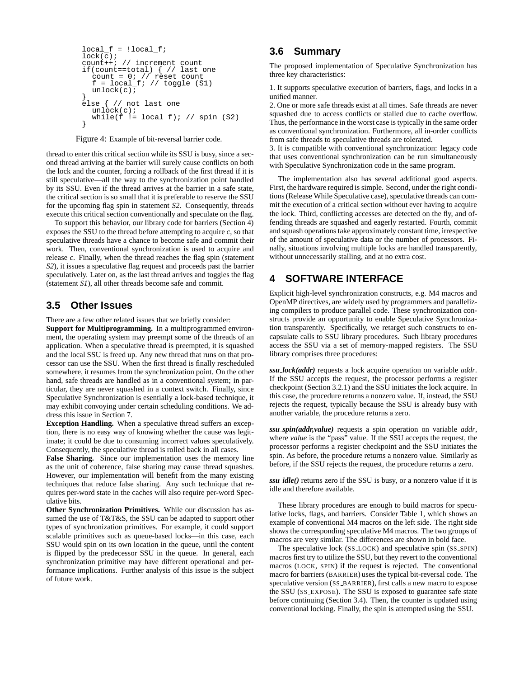```
lock(\overline{c});
count++; // increment count
  unlock(c);
}
else { // not last one
   unlock(c);
while(f != local_f); // spin (S2)
local_f = !local_f;}
if(count==total) { // last one
count = 0; // reset count
   f = local_f; // toggle (S1)
```
Figure 4: Example of bit-reversal barrier code.

thread to enter this critical section while its SSU is busy, since a second thread arriving at the barrier will surely cause conflicts on both the lock and the counter, forcing a rollback of the first thread if it is still speculative—all the way to the synchronization point handled by its SSU. Even if the thread arrives at the barrier in a safe state, the critical section is so small that it is preferable to reserve the SSU for the upcoming flag spin in statement *S2*. Consequently, threads execute this critical section conventionally and speculate on the flag.

To support this behavior, our library code for barriers (Section 4) exposes the SSU to the thread before attempting to acquire *c*, so that speculative threads have a chance to become safe and commit their work. Then, conventional synchronization is used to acquire and release *c*. Finally, when the thread reaches the flag spin (statement *S2*), it issues a speculative flag request and proceeds past the barrier speculatively. Later on, as the last thread arrives and toggles the flag (statement *S1*), all other threads become safe and commit.

# **3.5 Other Issues**

There are a few other related issues that we briefly consider:

**Support for Multiprogramming.** In a multiprogrammed environment, the operating system may preempt some of the threads of an application. When a speculative thread is preempted, it is squashed and the local SSU is freed up. Any new thread that runs on that processor can use the SSU. When the first thread is finally rescheduled somewhere, it resumes from the synchronization point. On the other hand, safe threads are handled as in a conventional system; in particular, they are never squashed in a context switch. Finally, since Speculative Synchronization is esentially a lock-based technique, it may exhibit convoying under certain scheduling conditions. We address this issue in Section 7.

**Exception Handling.** When a speculative thread suffers an exception, there is no easy way of knowing whether the cause was legitimate; it could be due to consuming incorrect values speculatively. Consequently, the speculative thread is rolled back in all cases.

**False Sharing.** Since our implementation uses the memory line as the unit of coherence, false sharing may cause thread squashes. However, our implementation will benefit from the many existing techniques that reduce false sharing. Any such technique that requires per-word state in the caches will also require per-word Speculative bits.

**Other Synchronization Primitives.** While our discussion has assumed the use of T&T&S, the SSU can be adapted to support other types of synchronization primitives. For example, it could support scalable primitives such as queue-based locks—in this case, each SSU would spin on its own location in the queue, until the content is flipped by the predecessor SSU in the queue. In general, each synchronization primitive may have different operational and performance implications. Further analysis of this issue is the subject of future work.

# **3.6 Summary**

The proposed implementation of Speculative Synchronization has three key characteristics:

1. It supports speculative execution of barriers, flags, and locks in a unified manner.

2. One or more safe threads exist at all times. Safe threads are never squashed due to access conflicts or stalled due to cache overflow. Thus, the performance in the worst case is typically in the same order as conventional synchronization. Furthermore, all in-order conflicts from safe threads to speculative threads are tolerated.

3. It is compatible with conventional synchronization: legacy code that uses conventional synchronization can be run simultaneously with Speculative Synchronization code in the same program.

The implementation also has several additional good aspects. First, the hardware required is simple. Second, under the right conditions (Release While Speculative case), speculative threads can commit the execution of a critical section without ever having to acquire the lock. Third, conflicting accesses are detected on the fly, and offending threads are squashed and eagerly restarted. Fourth, commit and squash operations take approximately constant time, irrespective of the amount of speculative data or the number of processors. Finally, situations involving multiple locks are handled transparently, without unnecessarily stalling, and at no extra cost.

# **4 SOFTWARE INTERFACE**

Explicit high-level synchronization constructs, e.g. M4 macros and OpenMP directives, are widely used by programmers and parallelizing compilers to produce parallel code. These synchronization constructs provide an opportunity to enable Speculative Synchronization transparently. Specifically, we retarget such constructs to encapsulate calls to SSU library procedures. Such library procedures access the SSU via a set of memory-mapped registers. The SSU library comprises three procedures:

*ssu lock(addr)* requests a lock acquire operation on variable *addr*. If the SSU accepts the request, the processor performs a register checkpoint (Section 3.2.1) and the SSU initiates the lock acquire. In this case, the procedure returns a nonzero value. If, instead, the SSU rejects the request, typically because the SSU is already busy with another variable, the procedure returns a zero.

*ssu spin(addr,value)* requests a spin operation on variable *addr*, where *value* is the "pass" value. If the SSU accepts the request, the processor performs a register checkpoint and the SSU initiates the spin. As before, the procedure returns a nonzero value. Similarly as before, if the SSU rejects the request, the procedure returns a zero.

*ssu idle()* returns zero if the SSU is busy, or a nonzero value if it is idle and therefore available.

These library procedures are enough to build macros for speculative locks, flags, and barriers. Consider Table 1, which shows an example of conventional M4 macros on the left side. The right side shows the corresponding speculative M4 macros. The two groups of macros are very similar. The differences are shown in bold face.

The speculative lock (SS LOCK) and speculative spin (SS SPIN) macros first try to utilize the SSU, but they revert to the conventional macros (LOCK, SPIN) if the request is rejected. The conventional macro for barriers (BARRIER) uses the typical bit-reversal code. The speculative version (SS BARRIER), first calls a new macro to expose the SSU (SS EXPOSE). The SSU is exposed to guarantee safe state before continuing (Section 3.4). Then, the counter is updated using conventional locking. Finally, the spin is attempted using the SSU.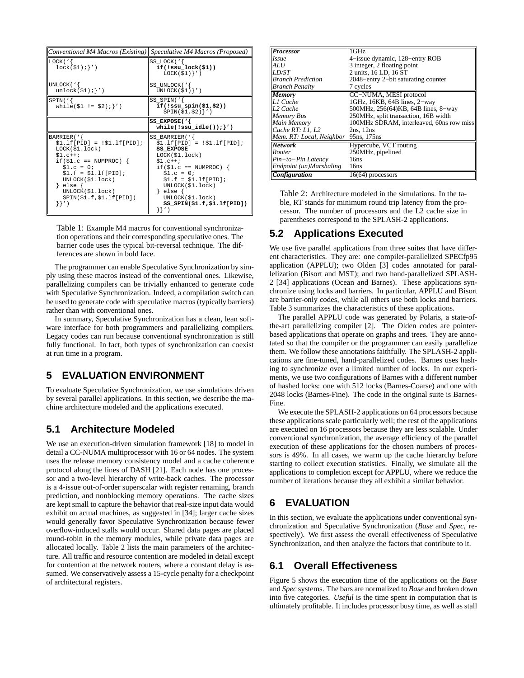| $\lfloor$ Conventional M4 Macros (Existing)                                                                                                                                                                                                    | Speculative M4 Macros (Proposed)                                                                                                                                                                                                                                               |
|------------------------------------------------------------------------------------------------------------------------------------------------------------------------------------------------------------------------------------------------|--------------------------------------------------------------------------------------------------------------------------------------------------------------------------------------------------------------------------------------------------------------------------------|
| $LOCK($ ' $\{$<br>lock(51); ?')                                                                                                                                                                                                                | SS LOCK('{<br>if (!su lock(51))<br>$LOCK(S1)$ $'$ )                                                                                                                                                                                                                            |
| UNLOCK ( '{<br>$\text{unlock}(\$1);\}'$                                                                                                                                                                                                        | SS UNLOCK $( \cdot )$<br>$UNLOCK(S1)$ $\}'$ )                                                                                                                                                                                                                                  |
| SPIN('<br>while( $$1 := $2$ ); $'$ )                                                                                                                                                                                                           | $SS\_SPIN('$<br>$if(!ssu_spin(\$1,\$2))$<br>$SPIN(51,52)$ ')                                                                                                                                                                                                                   |
|                                                                                                                                                                                                                                                | SS EXPOSE $(\cdot)$<br>while(!ssu_idle()); $\}$ ')                                                                                                                                                                                                                             |
| BARRIER('{<br>$$1.1f[PID] = $1.1f[PID];$<br>LOCK(S1, lock)<br>$$1.c++;$<br>if(\$1.c == NUMPROC) {<br>$$1.c = 0;$<br>$$1.f = $1.lf[PID];$<br>UNLOCK(\$1.lock)<br>$\}$ else $\{$<br>UNLOCK(\$1.lock)<br>SPIN(S1.f,S1.If[PID])<br>$\{\}^{\prime}$ | SS BARRIER $( \cdot )$<br>$$1.If[PID] = !$1.If[PID];$<br><b>SS EXPOSE</b><br>LOCK(S1, lock)<br>$$1.c++;$<br>if(\$1.c == NUMPROC) {<br>$$1.c = 0;$<br>$$1.f = $1.lf[PID];$<br>UNLOCK(\$1.lock)<br>$\}$ else $\{$<br>UNLOCK(\$1.lock)<br>$SS$ $SPIN(51.f,51.If[PID])$<br>$\}$ ') |

Table 1: Example M4 macros for conventional synchronization operations and their corresponding speculative ones. The barrier code uses the typical bit-reversal technique. The differences are shown in bold face.

The programmer can enable Speculative Synchronization by simply using these macros instead of the conventional ones. Likewise, parallelizing compilers can be trivially enhanced to generate code with Speculative Synchronization. Indeed, a compilation switch can be used to generate code with speculative macros (typically barriers) rather than with conventional ones.

In summary, Speculative Synchronization has a clean, lean software interface for both programmers and parallelizing compilers. Legacy codes can run because conventional synchronization is still fully functional. In fact, both types of synchronization can coexist at run time in a program.

# **5 EVALUATION ENVIRONMENT**

To evaluate Speculative Synchronization, we use simulations driven by several parallel applications. In this section, we describe the machine architecture modeled and the applications executed.

# **5.1 Architecture Modeled**

We use an execution-driven simulation framework [18] to model in detail a CC-NUMA multiprocessor with 16 or 64 nodes. The system uses the release memory consistency model and a cache coherence protocol along the lines of DASH [21]. Each node has one processor and a two-level hierarchy of write-back caches. The processor is a 4-issue out-of-order superscalar with register renaming, branch prediction, and nonblocking memory operations. The cache sizes are kept small to capture the behavior that real-size input data would exhibit on actual machines, as suggested in [34]; larger cache sizes would generally favor Speculative Synchronization because fewer overflow-induced stalls would occur. Shared data pages are placed round-robin in the memory modules, while private data pages are allocated locally. Table 2 lists the main parameters of the architecture. All traffic and resource contention are modeled in detail except for contention at the network routers, where a constant delay is assumed. We conservatively assess a 15-cycle penalty for a checkpoint of architectural registers.

| <b>Processor</b>                       | $1$ GHz                                  |  |
|----------------------------------------|------------------------------------------|--|
| <i>Issue</i>                           | 4-issue dynamic, 128-entry ROB           |  |
| ALU                                    | 3 integer, 2 floating point              |  |
| <i>LD/ST</i>                           | 2 units, 16 LD, 16 ST                    |  |
| <b>Branch Prediction</b>               | 2048-entry 2-bit saturating counter      |  |
| <b>Branch Penalty</b>                  | 7 cycles                                 |  |
| <b>Memory</b>                          | CC-NUMA, MESI protocol                   |  |
| L1 Cache                               | 1GHz, 16KB, 64B lines, 2-way             |  |
| L <sub>2</sub> Cache                   | 500MHz, 256(64)KB, 64B lines, 8-way      |  |
| <b>Memory Bus</b>                      | 250MHz, split transaction, 16B width     |  |
| Main Memory                            | 100MHz SDRAM, interleaved, 60ns row miss |  |
| Cache RT: L1, L2                       | $2ns$ , $12ns$                           |  |
| Mem. RT: Local, Neighbor   95ns, 175ns |                                          |  |
| <b>Network</b>                         | Hypercube, VCT routing                   |  |
| Router                                 | 250MHz, pipelined                        |  |
| Pin-to-Pin Latency                     | 16ns                                     |  |
| Endpoint (un)Marshaling                | 16ns                                     |  |
| Configuration                          | $16(64)$ processors                      |  |

Table 2: Architecture modeled in the simulations. In the table, RT stands for minimum round trip latency from the processor. The number of processors and the L2 cache size in parentheses correspond to the SPLASH-2 applications.

### **5.2 Applications Executed**

We use five parallel applications from three suites that have different characteristics. They are: one compiler-parallelized SPECfp95 application (APPLU); two Olden [3] codes annotated for parallelization (Bisort and MST); and two hand-parallelized SPLASH-2 [34] applications (Ocean and Barnes). These applications synchronize using locks and barriers. In particular, APPLU and Bisort are barrier-only codes, while all others use both locks and barriers. Table 3 summarizes the characteristics of these applications.

The parallel APPLU code was generated by Polaris, a state-ofthe-art parallelizing compiler [2]. The Olden codes are pointerbased applications that operate on graphs and trees. They are annotated so that the compiler or the programmer can easily parallelize them. We follow these annotations faithfully. The SPLASH-2 applications are fine-tuned, hand-parallelized codes. Barnes uses hashing to synchronize over a limited number of locks. In our experiments, we use two configurations of Barnes with a different number of hashed locks: one with 512 locks (Barnes-Coarse) and one with 2048 locks (Barnes-Fine). The code in the original suite is Barnes-Fine.

We execute the SPLASH-2 applications on 64 processors because these applications scale particularly well; the rest of the applications are executed on 16 processors because they are less scalable. Under conventional synchronization, the average efficiency of the parallel execution of these applications for the chosen numbers of processors is 49%. In all cases, we warm up the cache hierarchy before starting to collect execution statistics. Finally, we simulate all the applications to completion except for APPLU, where we reduce the number of iterations because they all exhibit a similar behavior.

# **6 EVALUATION**

In this section, we evaluate the applications under conventional synchronization and Speculative Synchronization (*Base* and *Spec*, respectively). We first assess the overall effectiveness of Speculative Synchronization, and then analyze the factors that contribute to it.

# **6.1 Overall Effectiveness**

Figure 5 shows the execution time of the applications on the *Base* and *Spec* systems. The bars are normalized to *Base* and broken down into five categories. *Useful* is the time spent in computation that is ultimately profitable. It includes processor busy time, as well as stall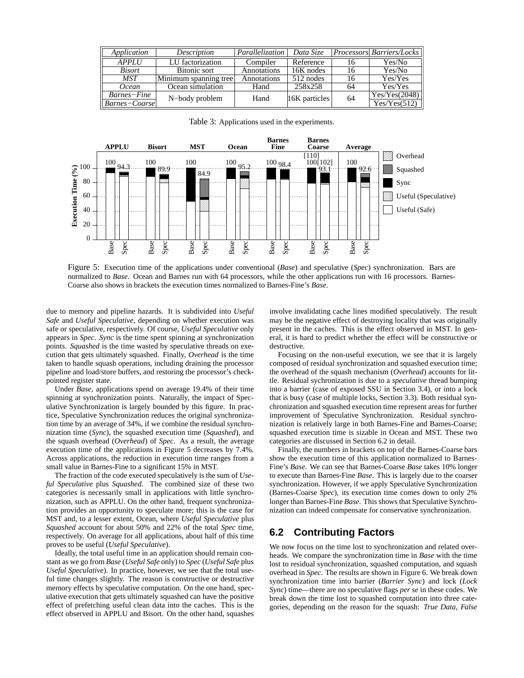| Application   | <i>Description</i>    | <i>Parallelization</i> | Data Size     |    | Processors Barriers/Locks |
|---------------|-----------------------|------------------------|---------------|----|---------------------------|
| <b>APPLU</b>  | LU factorization      | Compiler               | Reference     | 16 | Yes/No                    |
| <b>Bisort</b> | Bitonic sort          | Annotations            | 16K nodes     | 16 | Yes/No                    |
| <b>MST</b>    | Minimum spanning tree | Annotations            | 512 nodes     | 16 | Yes/Yes                   |
| Ocean         | Ocean simulation      | Hand                   | 258x258       | 64 | Yes/Yes                   |
| Barnes-Fine   | N-body problem        | Hand                   | 16K particles | 64 | Yes/Yes(2048)             |
| Barnes-Coarse |                       |                        |               |    | Yes/Yes(512)              |

Table 3: Applications used in the experiments.



Figure 5: Execution time of the applications under conventional (*Base*) and speculative (*Spec*) synchronization. Bars are normalized to *Base*. Ocean and Barnes run with 64 processors, while the other applications run with 16 processors. Barnes-Coarse also shows in brackets the execution times normalized to Barnes-Fine's *Base*.

due to memory and pipeline hazards. It is subdivided into *Useful Safe* and *Useful Speculative*, depending on whether execution was safe or speculative, respectively. Of course, *Useful Speculative* only appears in *Spec*. *Sync* is the time spent spinning at synchronization points. *Squashed* is the time wasted by speculative threads on execution that gets ultimately squashed. Finally, *Overhead* is the time taken to handle squash operations, including draining the processor pipeline and load/store buffers, and restoring the processor's checkpointed register state.

Under *Base*, applications spend on average 19.4% of their time spinning at synchronization points. Naturally, the impact of Speculative Synchronization is largely bounded by this figure. In practice, Speculative Synchronization reduces the original synchronization time by an average of 34%, if we combine the residual synchronization time (*Sync*), the squashed execution time (*Squashed*), and the squash overhead (*Overhead*) of *Spec*. As a result, the average execution time of the applications in Figure 5 decreases by 7.4%. Across applications, the reduction in execution time ranges from a small value in Barnes-Fine to a significant 15% in MST.

The fraction of the code executed speculatively is the sum of *Useful Speculative* plus *Squashed*. The combined size of these two categories is necessarily small in applications with little synchronization, such as APPLU. On the other hand, frequent synchronization provides an opportunity to speculate more; this is the case for MST and, to a lesser extent, Ocean, where *Useful Speculative* plus *Squashed* account for about 50% and 22% of the total *Spec* time, respectively. On average for all applications, about half of this time proves to be useful (*Useful Speculative*).

Ideally, the total useful time in an application should remain constant as we go from *Base* (*Useful Safe* only) to *Spec* (*Useful Safe* plus *Useful Speculative*). In practice, however, we see that the total useful time changes slightly. The reason is constructive or destructive memory effects by speculative computation. On the one hand, speculative execution that gets ultimately squashed can have the positive effect of prefetching useful clean data into the caches. This is the effect observed in APPLU and Bisort. On the other hand, squashes involve invalidating cache lines modified speculatively. The result may be the negative effect of destroying locality that was originally present in the caches. This is the effect observed in MST. In general, it is hard to predict whether the effect will be constructive or destructive.

Focusing on the non-useful execution, we see that it is largely composed of residual synchronization and squashed execution time; the overhead of the squash mechanism (*Overhead*) accounts for little. Residual sychronization is due to a *speculative* thread bumping into a barrier (case of exposed SSU in Section 3.4), or into a lock that is busy (case of multiple locks, Section 3.3). Both residual synchronization and squashed execution time represent areas for further improvement of Speculative Synchronization. Residual synchronization is relatively large in both Barnes-Fine and Barnes-Coarse; squashed execution time is sizable in Ocean and MST. These two categories are discussed in Section 6.2 in detail.

Finally, the numbers in brackets on top of the Barnes-Coarse bars show the execution time of this application normalized to Barnes-Fine's *Base*. We can see that Barnes-Coarse *Base* takes 10% longer to execute than Barnes-Fine *Base*. This is largely due to the coarser synchronization. However, if we apply Speculative Synchronization (Barnes-Coarse *Spec*), its execution time comes down to only 2% longer than Barnes-Fine *Base*. This shows that Speculative Synchronization can indeed compensate for conservative synchronization.

# **6.2 Contributing Factors**

We now focus on the time lost to synchronization and related overheads. We compare the synchronization time in *Base* with the time lost to residual synchronization, squashed computation, and squash overhead in *Spec*. The results are shown in Figure 6. We break down synchronization time into barrier (*Barrier Sync*) and lock (*Lock Sync*) time—there are no speculative flags *per se* in these codes. We break down the time lost to squashed computation into three categories, depending on the reason for the squash: *True Data*, *False*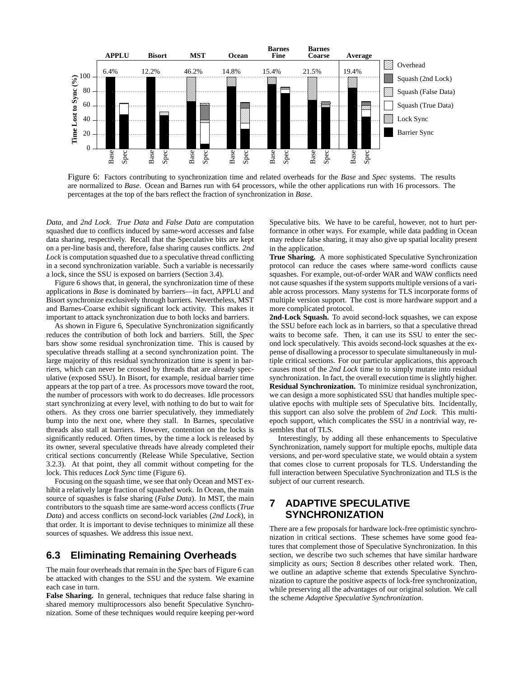

Figure 6: Factors contributing to synchronization time and related overheads for the *Base* and *Spec* systems. The results are normalized to *Base*. Ocean and Barnes run with 64 processors, while the other applications run with 16 processors. The percentages at the top of the bars reflect the fraction of synchronization in *Base*.

*Data*, and *2nd Lock*. *True Data* and *False Data* are computation squashed due to conflicts induced by same-word accesses and false data sharing, respectively. Recall that the Speculative bits are kept on a per-line basis and, therefore, false sharing causes conflicts. *2nd Lock* is computation squashed due to a speculative thread conflicting in a second synchronization variable. Such a variable is necessarily a lock, since the SSU is exposed on barriers (Section 3.4).

Figure 6 shows that, in general, the synchronization time of these applications in *Base* is dominated by barriers—in fact, APPLU and Bisort synchronize exclusively through barriers. Nevertheless, MST and Barnes-Coarse exhibit significant lock activity. This makes it important to attack synchronization due to both locks and barriers.

As shown in Figure 6, Speculative Synchronization significantly reduces the contribution of both lock and barriers. Still, the *Spec* bars show some residual synchronization time. This is caused by speculative threads stalling at a second synchronization point. The large majority of this residual synchronization time is spent in barriers, which can never be crossed by threads that are already speculative (exposed SSU). In Bisort, for example, residual barrier time appears at the top part of a tree. As processors move toward the root, the number of processors with work to do decreases. Idle processors start synchronizing at every level, with nothing to do but to wait for others. As they cross one barrier speculatively, they immediately bump into the next one, where they stall. In Barnes, speculative threads also stall at barriers. However, contention on the locks is significantly reduced. Often times, by the time a lock is released by its owner, several speculative threads have already completed their critical sections concurrently (Release While Speculative, Section 3.2.3). At that point, they all commit without competing for the lock. This reduces *Lock Sync* time (Figure 6).

Focusing on the squash time, we see that only Ocean and MST exhibit a relatively large fraction of squashed work. In Ocean, the main source of squashes is false sharing (*False Data*). In MST, the main contributors to the squash time are same-word access conflicts (*True Data*) and access conflicts on second-lock variables (*2nd Lock*), in that order. It is important to devise techniques to minimize all these sources of squashes. We address this issue next.

### **6.3 Eliminating Remaining Overheads**

The main four overheads that remain in the *Spec* bars of Figure 6 can be attacked with changes to the SSU and the system. We examine each case in turn.

**False Sharing.** In general, techniques that reduce false sharing in shared memory multiprocessors also benefit Speculative Synchronization. Some of these techniques would require keeping per-word Speculative bits. We have to be careful, however, not to hurt performance in other ways. For example, while data padding in Ocean may reduce false sharing, it may also give up spatial locality present in the application.

**True Sharing.** A more sophisticated Speculative Synchronization protocol can reduce the cases where same-word conflicts cause squashes. For example, out-of-order WAR and WAW conflicts need not cause squashes if the system supports multiple versions of a variable across processors. Many systems for TLS incorporate forms of multiple version support. The cost is more hardware support and a more complicated protocol.

2nd-Lock Squash. To avoid second-lock squashes, we can expose the SSU before each lock as in barriers, so that a speculative thread waits to become safe. Then, it can use its SSU to enter the second lock speculatively. This avoids second-lock squashes at the expense of disallowing a processor to speculate simultaneously in multiple critical sections. For our particular applications, this approach causes most of the *2nd Lock* time to to simply mutate into residual synchronization. In fact, the overall execution time is slightly higher. **Residual Synchronization.** To minimize residual synchronization, we can design a more sophisticated SSU that handles multiple speculative epochs with multiple sets of Speculative bits. Incidentally, this support can also solve the problem of *2nd Lock*. This multiepoch support, which complicates the SSU in a nontrivial way, resembles that of TLS.

Interestingly, by adding all these enhancements to Speculative Synchronization, namely support for multiple epochs, multiple data versions, and per-word speculative state, we would obtain a system that comes close to current proposals for TLS. Understanding the full interaction between Speculative Synchronization and TLS is the subject of our current research.

# **7 ADAPTIVE SPECULATIVE SYNCHRONIZATION**

There are a few proposals for hardware lock-free optimistic synchronization in critical sections. These schemes have some good features that complement those of Speculative Synchronization. In this section, we describe two such schemes that have similar hardware simplicity as ours; Section 8 describes other related work. Then, we outline an adaptive scheme that extends Speculative Synchronization to capture the positive aspects of lock-free synchronization, while preserving all the advantages of our original solution. We call the scheme *Adaptive Speculative Synchronization*.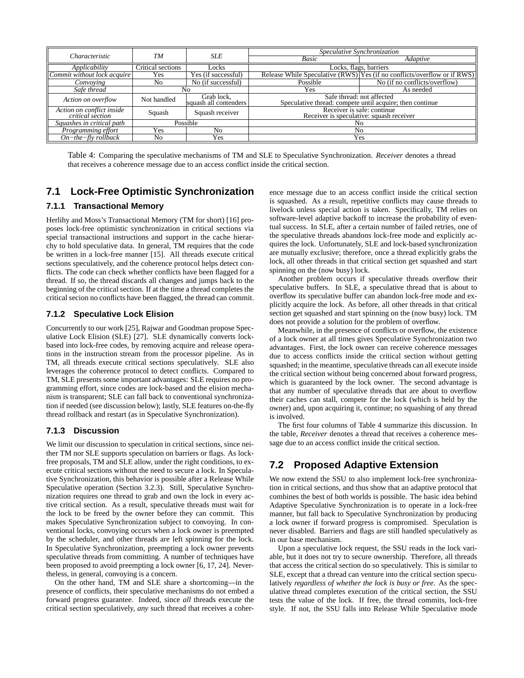|                                               |                   |                                     | Speculative Synchronization                                                           |                                                                          |  |
|-----------------------------------------------|-------------------|-------------------------------------|---------------------------------------------------------------------------------------|--------------------------------------------------------------------------|--|
| Characteristic                                | TМ                | <b>SLE</b>                          | Basic                                                                                 | Adaptive                                                                 |  |
| Applicability                                 | Critical sections | Locks                               | Locks, flags, barriers                                                                |                                                                          |  |
| Commit without lock acquire                   | Yes               | Yes (if successful)                 |                                                                                       | Release While Speculative (RWS) Yes (if no conflicts/overflow or if RWS) |  |
| Convoying                                     | No                | No (if successful)                  | Possible                                                                              | No (if no conflicts/overflow)                                            |  |
| Safe thread                                   | Nο                |                                     | Yes.                                                                                  | As needed                                                                |  |
| Action on overflow                            | Not handled       | Grab lock,<br>squash all contenders | Safe thread: not affected<br>Speculative thread: compete until acquire; then continue |                                                                          |  |
| Action on conflict inside<br>critical section | Squash            | Squash receiver                     | Receiver is safe: continue<br>Receiver is speculative: squash receiver                |                                                                          |  |
| Squashes in critical path                     |                   | Possible                            | No                                                                                    |                                                                          |  |
| Programming effort                            | Yes.              | N <sub>0</sub>                      | No                                                                                    |                                                                          |  |
| $On$ -the-fly rollback                        | No                | Yes                                 | Yes                                                                                   |                                                                          |  |

Table 4: Comparing the speculative mechanisms of TM and SLE to Speculative Synchronization. *Receiver* denotes a thread that receives a coherence message due to an access conflict inside the critical section.

# **7.1 Lock-Free Optimistic Synchronization**

### **7.1.1 Transactional Memory**

Herlihy and Moss's Transactional Memory (TM for short) [16] proposes lock-free optimistic synchronization in critical sections via special transactional instructions and support in the cache hierarchy to hold speculative data. In general, TM requires that the code be written in a lock-free manner [15]. All threads execute critical sections speculatively, and the coherence protocol helps detect conflicts. The code can check whether conflicts have been flagged for a thread. If so, the thread discards all changes and jumps back to the beginning of the critical section. If at the time a thread completes the critical secion no conflicts have been flagged, the thread can commit.

#### **7.1.2 Speculative Lock Elision**

Concurrently to our work [25], Rajwar and Goodman propose Speculative Lock Elision (SLE) [27]. SLE dynamically converts lockbased into lock-free codes, by removing acquire and release operations in the instruction stream from the processor pipeline. As in TM, all threads execute critical sections speculatively. SLE also leverages the coherence protocol to detect conflicts. Compared to TM, SLE presents some important advantages: SLE requires no programming effort, since codes are lock-based and the elision mechanism is transparent; SLE can fall back to conventional synchronization if needed (see discussion below); lastly, SLE features on-the-fly thread rollback and restart (as in Speculative Synchronization).

#### **7.1.3 Discussion**

We limit our discussion to speculation in critical sections, since neither TM nor SLE supports speculation on barriers or flags. As lockfree proposals, TM and SLE allow, under the right conditions, to execute critical sections without the need to secure a lock. In Speculative Synchronization, this behavior is possible after a Release While Speculative operation (Section 3.2.3). Still, Speculative Synchronization requires one thread to grab and own the lock in every active critical section. As a result, speculative threads must wait for the lock to be freed by the owner before they can commit. This makes Speculative Synchronization subject to convoying. In conventional locks, convoying occurs when a lock owner is preempted by the scheduler, and other threads are left spinning for the lock. In Speculative Synchronization, preempting a lock owner prevents speculative threads from committing. A number of techniques have been proposed to avoid preempting a lock owner [6, 17, 24]. Nevertheless, in general, convoying is a concern.

On the other hand, TM and SLE share a shortcoming—in the presence of conflicts, their speculative mechanisms do not embed a forward progress guarantee. Indeed, since *all* threads execute the critical section speculatively, *any* such thread that receives a coherence message due to an access conflict inside the critical section is squashed. As a result, repetitive conflicts may cause threads to livelock unless special action is taken. Specifically, TM relies on software-level adaptive backoff to increase the probability of eventual success. In SLE, after a certain number of failed retries, one of the speculative threads abandons lock-free mode and explicitly acquires the lock. Unfortunately, SLE and lock-based synchronization are mutually exclusive; therefore, once a thread explicitly grabs the lock, all other threads in that critical section get squashed and start spinning on the (now busy) lock.

Another problem occurs if speculative threads overflow their speculative buffers. In SLE, a speculative thread that is about to overflow its speculative buffer can abandon lock-free mode and explicitly acquire the lock. As before, all other threads in that critical section get squashed and start spinning on the (now busy) lock. TM does not provide a solution for the problem of overflow.

Meanwhile, in the presence of conflicts or overflow, the existence of a lock owner at all times gives Speculative Synchronization two advantages. First, the lock owner can receive coherence messages due to access conflicts inside the critical section without getting squashed; in the meantime, speculative threads can all execute inside the critical section without being concerned about forward progress, which is guaranteed by the lock owner. The second advantage is that any number of speculative threads that are about to overflow their caches can stall, compete for the lock (which is held by the owner) and, upon acquiring it, continue; no squashing of any thread is involved.

The first four columns of Table 4 summarize this discussion. In the table, *Receiver* denotes a thread that receives a coherence message due to an access conflict inside the critical section.

# **7.2 Proposed Adaptive Extension**

We now extend the SSU to also implement lock-free synchronization in critical sections, and thus show that an adaptive protocol that combines the best of both worlds is possible. The basic idea behind Adaptive Speculative Synchronization is to operate in a lock-free manner, but fall back to Speculative Synchronization by producing a lock owner if forward progress is compromised. Speculation is never disabled. Barriers and flags are still handled speculatively as in our base mechanism.

Upon a speculative lock request, the SSU reads in the lock variable, but it does not try to secure ownership. Therefore, all threads that access the critical section do so speculatively. This is similar to SLE, except that a thread can venture into the critical section speculatively *regardless of whether the lock is busy or free*. As the speculative thread completes execution of the critical section, the SSU tests the value of the lock. If free, the thread commits, lock-free style. If not, the SSU falls into Release While Speculative mode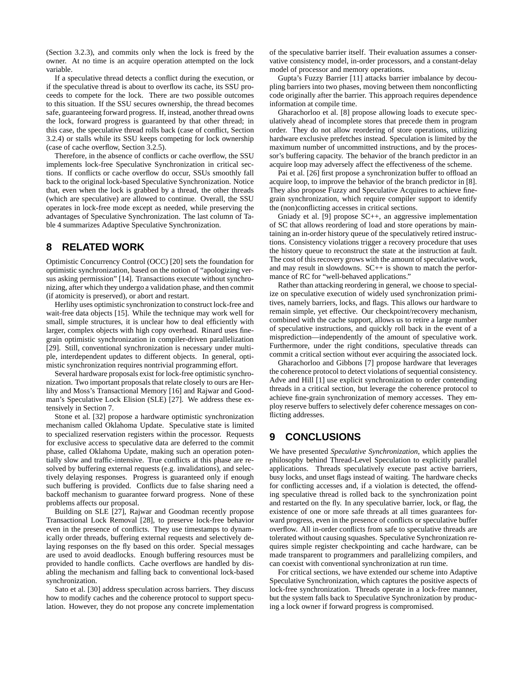(Section 3.2.3), and commits only when the lock is freed by the owner. At no time is an acquire operation attempted on the lock variable.

If a speculative thread detects a conflict during the execution, or if the speculative thread is about to overflow its cache, its SSU proceeds to compete for the lock. There are two possible outcomes to this situation. If the SSU secures ownership, the thread becomes safe, guaranteeing forward progress. If, instead, another thread owns the lock, forward progress is guaranteed by that other thread; in this case, the speculative thread rolls back (case of conflict, Section 3.2.4) or stalls while its SSU keeps competing for lock ownership (case of cache overflow, Section 3.2.5).

Therefore, in the absence of conflicts or cache overflow, the SSU implements lock-free Speculative Synchronization in critical sections. If conflicts or cache overflow do occur, SSUs smoothly fall back to the original lock-based Speculative Synchronization. Notice that, even when the lock is grabbed by a thread, the other threads (which are speculative) are allowed to continue. Overall, the SSU operates in lock-free mode except as needed, while preserving the advantages of Speculative Synchronization. The last column of Table 4 summarizes Adaptive Speculative Synchronization.

# **8 RELATED WORK**

Optimistic Concurrency Control (OCC) [20] sets the foundation for optimistic synchronization, based on the notion of "apologizing versus asking permission" [14]. Transactions execute without synchronizing, after which they undergo a validation phase, and then commit (if atomicity is preserved), or abort and restart.

Herlihy uses optimistic synchronization to construct lock-free and wait-free data objects [15]. While the technique may work well for small, simple structures, it is unclear how to deal efficiently with larger, complex objects with high copy overhead. Rinard uses finegrain optimistic synchronization in compiler-driven parallelization [29]. Still, conventional synchronization is necessary under multiple, interdependent updates to different objects. In general, optimistic synchronization requires nontrivial programming effort.

Several hardware proposals exist for lock-free optimistic synchronization. Two important proposals that relate closely to ours are Herlihy and Moss's Transactional Memory [16] and Rajwar and Goodman's Speculative Lock Elision (SLE) [27]. We address these extensively in Section 7.

Stone et al. [32] propose a hardware optimistic synchronization mechanism called Oklahoma Update. Speculative state is limited to specialized reservation registers within the processor. Requests for exclusive access to speculative data are deferred to the commit phase, called Oklahoma Update, making such an operation potentially slow and traffic-intensive. True conflicts at this phase are resolved by buffering external requests (e.g. invalidations), and selectively delaying responses. Progress is guaranteed only if enough such buffering is provided. Conflicts due to false sharing need a backoff mechanism to guarantee forward progress. None of these problems affects our proposal.

Building on SLE [27], Rajwar and Goodman recently propose Transactional Lock Removal [28], to preserve lock-free behavior even in the presence of conflicts. They use timestamps to dynamically order threads, buffering external requests and selectively delaying responses on the fly based on this order. Special messages are used to avoid deadlocks. Enough buffering resources must be provided to handle conflicts. Cache overflows are handled by disabling the mechanism and falling back to conventional lock-based synchronization.

Sato et al. [30] address speculation across barriers. They discuss how to modify caches and the coherence protocol to support speculation. However, they do not propose any concrete implementation of the speculative barrier itself. Their evaluation assumes a conservative consistency model, in-order processors, and a constant-delay model of processor and memory operations.

Gupta's Fuzzy Barrier [11] attacks barrier imbalance by decoupling barriers into two phases, moving between them nonconflicting code originally after the barrier. This approach requires dependence information at compile time.

Gharachorloo et al. [8] propose allowing loads to execute speculatively ahead of incomplete stores that precede them in program order. They do not allow reordering of store operations, utilizing hardware exclusive prefetches instead. Speculation is limited by the maximum number of uncommitted instructions, and by the processor's buffering capacity. The behavior of the branch predictor in an acquire loop may adversely affect the effectiveness of the scheme.

Pai et al. [26] first propose a synchronization buffer to offload an acquire loop, to improve the behavior of the branch predictor in [8]. They also propose Fuzzy and Speculative Acquires to achieve finegrain synchronization, which require compiler support to identify the (non)conflicting accesses in critical sections.

Gniady et al. [9] propose SC++, an aggressive implementation of SC that allows reordering of load and store operations by maintaining an in-order history queue of the speculatively retired instructions. Consistency violations trigger a recovery procedure that uses the history queue to reconstruct the state at the instruction at fault. The cost of this recovery grows with the amount of speculative work, and may result in slowdowns. SC++ is shown to match the performance of RC for "well-behaved applications."

Rather than attacking reordering in general, we choose to specialize on speculative execution of widely used synchronization primitives, namely barriers, locks, and flags. This allows our hardware to remain simple, yet effective. Our checkpoint/recovery mechanism, combined with the cache support, allows us to retire a large number of speculative instructions, and quickly roll back in the event of a misprediction—independently of the amount of speculative work. Furthermore, under the right conditions, speculative threads can commit a critical section without ever acquiring the associated lock.

Gharachorloo and Gibbons [7] propose hardware that leverages the coherence protocol to detect violations of sequential consistency. Adve and Hill [1] use explicit synchronization to order contending threads in a critical section, but leverage the coherence protocol to achieve fine-grain synchronization of memory accesses. They employ reserve buffers to selectively defer coherence messages on conflicting addresses.

# **9 CONCLUSIONS**

We have presented *Speculative Synchronization*, which applies the philosophy behind Thread-Level Speculation to explicitly parallel applications. Threads speculatively execute past active barriers, busy locks, and unset flags instead of waiting. The hardware checks for conflicting accesses and, if a violation is detected, the offending speculative thread is rolled back to the synchronization point and restarted on the fly. In any speculative barrier, lock, or flag, the existence of one or more safe threads at all times guarantees forward progress, even in the presence of conflicts or speculative buffer overflow. All in-order conflicts from safe to speculative threads are tolerated without causing squashes. Speculative Synchronization requires simple register checkpointing and cache hardware, can be made transparent to programmers and parallelizing compilers, and can coexist with conventional synchronization at run time.

For critical sections, we have extended our scheme into Adaptive Speculative Synchronization, which captures the positive aspects of lock-free synchronization. Threads operate in a lock-free manner, but the system falls back to Speculative Synchronization by producing a lock owner if forward progress is compromised.